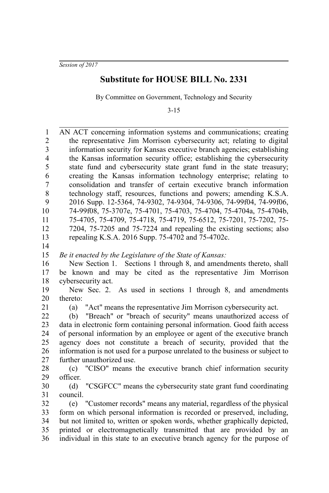*Session of 2017*

## **Substitute for HOUSE BILL No. 2331**

By Committee on Government, Technology and Security

3-15

AN ACT concerning information systems and communications; creating the representative Jim Morrison cybersecurity act; relating to digital information security for Kansas executive branch agencies; establishing the Kansas information security office; establishing the cybersecurity state fund and cybersecurity state grant fund in the state treasury; creating the Kansas information technology enterprise; relating to consolidation and transfer of certain executive branch information technology staff, resources, functions and powers; amending K.S.A. 2016 Supp. 12-5364, 74-9302, 74-9304, 74-9306, 74-99f04, 74-99f06, 74-99f08, 75-3707e, 75-4701, 75-4703, 75-4704, 75-4704a, 75-4704b, 75-4705, 75-4709, 75-4718, 75-4719, 75-6512, 75-7201, 75-7202, 75- 7204, 75-7205 and 75-7224 and repealing the existing sections; also repealing K.S.A. 2016 Supp. 75-4702 and 75-4702c. *Be it enacted by the Legislature of the State of Kansas:* New Section 1. Sections 1 through 8, and amendments thereto, shall be known and may be cited as the representative Jim Morrison cybersecurity act. New Sec. 2. As used in sections 1 through 8, and amendments thereto: (a) "Act" means the representative Jim Morrison cybersecurity act. (b) "Breach" or "breach of security" means unauthorized access of data in electronic form containing personal information. Good faith access of personal information by an employee or agent of the executive branch agency does not constitute a breach of security, provided that the information is not used for a purpose unrelated to the business or subject to further unauthorized use. (c) "CISO" means the executive branch chief information security officer. (d) "CSGFCC" means the cybersecurity state grant fund coordinating council. (e) "Customer records" means any material, regardless of the physical form on which personal information is recorded or preserved, including, but not limited to, written or spoken words, whether graphically depicted, printed or electromagnetically transmitted that are provided by an individual in this state to an executive branch agency for the purpose of 1 2 3 4 5 6 7 8 9 10 11 12 13 14 15 16 17 18 19 20 21 22 23 24 25 26 27 28 29 30 31 32 33 34 35 36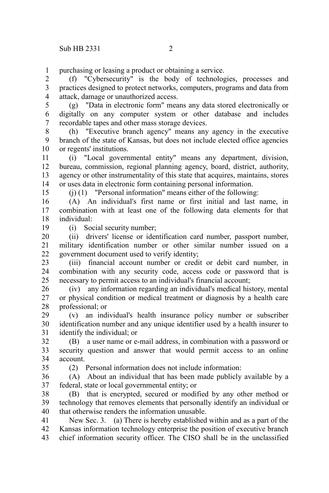purchasing or leasing a product or obtaining a service. 1

(f) "Cybersecurity" is the body of technologies, processes and practices designed to protect networks, computers, programs and data from attack, damage or unauthorized access. 2 3 4

(g) "Data in electronic form" means any data stored electronically or digitally on any computer system or other database and includes recordable tapes and other mass storage devices. 5 6 7

(h) "Executive branch agency" means any agency in the executive branch of the state of Kansas, but does not include elected office agencies or regents' institutions. 8  $\mathbf{Q}$ 10

(i) "Local governmental entity" means any department, division, bureau, commission, regional planning agency, board, district, authority, agency or other instrumentality of this state that acquires, maintains, stores or uses data in electronic form containing personal information. 11 12 13 14

(j) (1) "Personal information" means either of the following:

(A) An individual's first name or first initial and last name, in combination with at least one of the following data elements for that individual: 16 17 18

19

15

(i) Social security number;

(ii) drivers' license or identification card number, passport number, military identification number or other similar number issued on a government document used to verify identity; 20 21 22

(iii) financial account number or credit or debit card number, in combination with any security code, access code or password that is necessary to permit access to an individual's financial account; 23 24 25

(iv) any information regarding an individual's medical history, mental or physical condition or medical treatment or diagnosis by a health care professional; or 26 27 28

(v) an individual's health insurance policy number or subscriber identification number and any unique identifier used by a health insurer to identify the individual; or 29 30 31

(B) a user name or e-mail address, in combination with a password or security question and answer that would permit access to an online account. 32 33 34

35

(2) Personal information does not include information:

(A) About an individual that has been made publicly available by a federal, state or local governmental entity; or 36 37

(B) that is encrypted, secured or modified by any other method or technology that removes elements that personally identify an individual or that otherwise renders the information unusable. 38 39 40

New Sec. 3. (a) There is hereby established within and as a part of the Kansas information technology enterprise the position of executive branch chief information security officer. The CISO shall be in the unclassified 41 42 43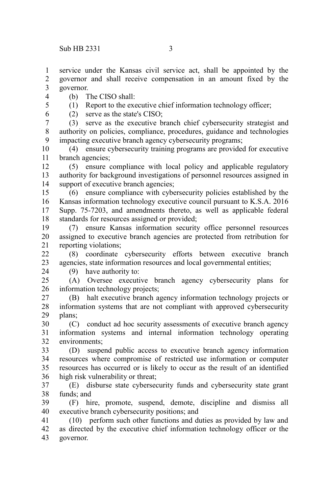5 6

24

service under the Kansas civil service act, shall be appointed by the governor and shall receive compensation in an amount fixed by the governor. 1 2 3

- (b) The CISO shall: 4
	- (1) Report to the executive chief information technology officer;

(2) serve as the state's CISO;

(3) serve as the executive branch chief cybersecurity strategist and authority on policies, compliance, procedures, guidance and technologies impacting executive branch agency cybersecurity programs; 7 8 9

(4) ensure cybersecurity training programs are provided for executive branch agencies; 10 11

(5) ensure compliance with local policy and applicable regulatory authority for background investigations of personnel resources assigned in support of executive branch agencies; 12 13 14

(6) ensure compliance with cybersecurity policies established by the Kansas information technology executive council pursuant to K.S.A. 2016 Supp. 75-7203, and amendments thereto, as well as applicable federal standards for resources assigned or provided; 15 16 17 18

(7) ensure Kansas information security office personnel resources assigned to executive branch agencies are protected from retribution for reporting violations; 19 20 21

(8) coordinate cybersecurity efforts between executive branch agencies, state information resources and local governmental entities; 22 23

(9) have authority to:

(A) Oversee executive branch agency cybersecurity plans for information technology projects; 25 26

(B) halt executive branch agency information technology projects or information systems that are not compliant with approved cybersecurity plans; 27 28 29

(C) conduct ad hoc security assessments of executive branch agency information systems and internal information technology operating environments; 30 31 32

(D) suspend public access to executive branch agency information resources where compromise of restricted use information or computer resources has occurred or is likely to occur as the result of an identified high risk vulnerability or threat; 33 34 35 36

(E) disburse state cybersecurity funds and cybersecurity state grant funds; and 37 38

(F) hire, promote, suspend, demote, discipline and dismiss all executive branch cybersecurity positions; and 39 40

(10) perform such other functions and duties as provided by law and as directed by the executive chief information technology officer or the governor. 41 42 43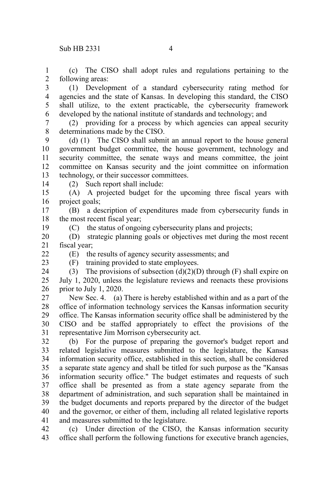(c) The CISO shall adopt rules and regulations pertaining to the following areas: 1 2

(1) Development of a standard cybersecurity rating method for agencies and the state of Kansas. In developing this standard, the CISO shall utilize, to the extent practicable, the cybersecurity framework developed by the national institute of standards and technology; and 3 4 5 6

(2) providing for a process by which agencies can appeal security determinations made by the CISO. 7 8

(d) (1) The CISO shall submit an annual report to the house general government budget committee, the house government, technology and security committee, the senate ways and means committee, the joint committee on Kansas security and the joint committee on information technology, or their successor committees. 9 10 11 12 13

14

(2) Such report shall include:

(A) A projected budget for the upcoming three fiscal years with project goals; 15 16

(B) a description of expenditures made from cybersecurity funds in the most recent fiscal year; 17 18

(C) the status of ongoing cybersecurity plans and projects;

(D) strategic planning goals or objectives met during the most recent fiscal year; 20 21

22

19

23

(F) training provided to state employees.

(E) the results of agency security assessments; and

(3) The provisions of subsection  $(d)(2)(D)$  through  $(F)$  shall expire on July 1, 2020, unless the legislature reviews and reenacts these provisions prior to July 1, 2020. 24 25 26

New Sec. 4. (a) There is hereby established within and as a part of the office of information technology services the Kansas information security office. The Kansas information security office shall be administered by the CISO and be staffed appropriately to effect the provisions of the representative Jim Morrison cybersecurity act. 27 28 29 30 31

(b) For the purpose of preparing the governor's budget report and related legislative measures submitted to the legislature, the Kansas information security office, established in this section, shall be considered a separate state agency and shall be titled for such purpose as the "Kansas information security office." The budget estimates and requests of such office shall be presented as from a state agency separate from the department of administration, and such separation shall be maintained in the budget documents and reports prepared by the director of the budget and the governor, or either of them, including all related legislative reports and measures submitted to the legislature. 32 33 34 35 36 37 38 39 40 41

(c) Under direction of the CISO, the Kansas information security office shall perform the following functions for executive branch agencies, 42 43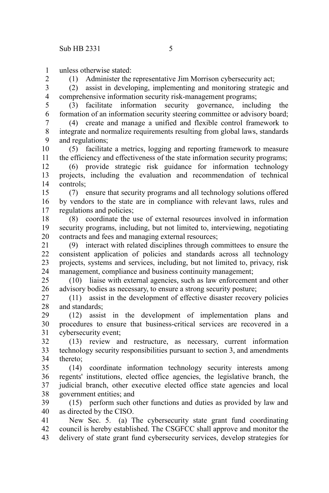unless otherwise stated: 1

2

(1) Administer the representative Jim Morrison cybersecurity act;

(2) assist in developing, implementing and monitoring strategic and comprehensive information security risk-management programs; 3 4

(3) facilitate information security governance, including the formation of an information security steering committee or advisory board; 5 6

(4) create and manage a unified and flexible control framework to integrate and normalize requirements resulting from global laws, standards and regulations; 7 8 9

(5) facilitate a metrics, logging and reporting framework to measure the efficiency and effectiveness of the state information security programs; 10 11

(6) provide strategic risk guidance for information technology projects, including the evaluation and recommendation of technical controls; 12 13 14

(7) ensure that security programs and all technology solutions offered by vendors to the state are in compliance with relevant laws, rules and regulations and policies; 15 16 17

(8) coordinate the use of external resources involved in information security programs, including, but not limited to, interviewing, negotiating contracts and fees and managing external resources; 18 19 20

(9) interact with related disciplines through committees to ensure the consistent application of policies and standards across all technology projects, systems and services, including, but not limited to, privacy, risk management, compliance and business continuity management; 21 22 23 24

(10) liaise with external agencies, such as law enforcement and other advisory bodies as necessary, to ensure a strong security posture; 25 26

(11) assist in the development of effective disaster recovery policies and standards; 27 28

(12) assist in the development of implementation plans and procedures to ensure that business-critical services are recovered in a cybersecurity event; 29 30 31

(13) review and restructure, as necessary, current information technology security responsibilities pursuant to section 3, and amendments thereto; 32 33 34

(14) coordinate information technology security interests among regents' institutions, elected office agencies, the legislative branch, the judicial branch, other executive elected office state agencies and local government entities; and 35 36 37 38

(15) perform such other functions and duties as provided by law and as directed by the CISO. 39 40

New Sec. 5. (a) The cybersecurity state grant fund coordinating council is hereby established. The CSGFCC shall approve and monitor the delivery of state grant fund cybersecurity services, develop strategies for 41 42 43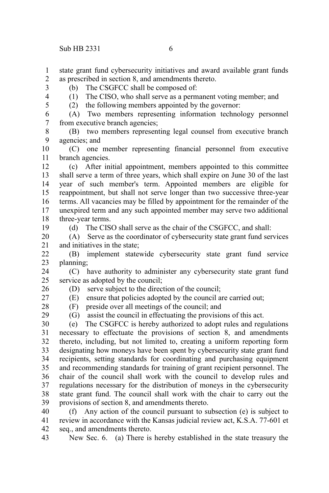state grant fund cybersecurity initiatives and award available grant funds as prescribed in section 8, and amendments thereto. (b) The CSGFCC shall be composed of: 1 2 3

4

(1) The CISO, who shall serve as a permanent voting member; and

5

(2) the following members appointed by the governor:

(A) Two members representing information technology personnel from executive branch agencies; 6 7

(B) two members representing legal counsel from executive branch agencies; and 8 9

(C) one member representing financial personnel from executive branch agencies. 10 11

(c) After initial appointment, members appointed to this committee shall serve a term of three years, which shall expire on June 30 of the last year of such member's term. Appointed members are eligible for reappointment, but shall not serve longer than two successive three-year terms. All vacancies may be filled by appointment for the remainder of the unexpired term and any such appointed member may serve two additional three-year terms. 12 13 14 15 16 17 18

19

(d) The CISO shall serve as the chair of the CSGFCC, and shall:

(A) Serve as the coordinator of cybersecurity state grant fund services and initiatives in the state; 20 21

(B) implement statewide cybersecurity state grant fund service planning; 22 23

(C) have authority to administer any cybersecurity state grant fund service as adopted by the council; 24 25

(D) serve subject to the direction of the council; 26

(E) ensure that policies adopted by the council are carried out; 27

(F) preside over all meetings of the council; and 28

(G) assist the council in effectuating the provisions of this act. 29

(e) The CSGFCC is hereby authorized to adopt rules and regulations necessary to effectuate the provisions of section 8, and amendments thereto, including, but not limited to, creating a uniform reporting form designating how moneys have been spent by cybersecurity state grant fund recipients, setting standards for coordinating and purchasing equipment and recommending standards for training of grant recipient personnel. The chair of the council shall work with the council to develop rules and regulations necessary for the distribution of moneys in the cybersecurity state grant fund. The council shall work with the chair to carry out the provisions of section 8, and amendments thereto. 30 31 32 33 34 35 36 37 38 39

(f) Any action of the council pursuant to subsection (e) is subject to review in accordance with the Kansas judicial review act, K.S.A. 77-601 et seq., and amendments thereto. 40 41 42

New Sec. 6. (a) There is hereby established in the state treasury the 43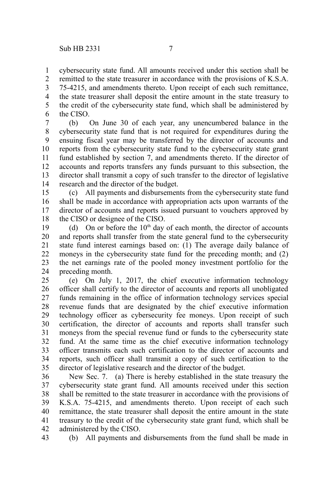cybersecurity state fund. All amounts received under this section shall be remitted to the state treasurer in accordance with the provisions of K.S.A. 75-4215, and amendments thereto. Upon receipt of each such remittance, the state treasurer shall deposit the entire amount in the state treasury to the credit of the cybersecurity state fund, which shall be administered by the CISO. 1 2 3 4 5 6

(b) On June 30 of each year, any unencumbered balance in the cybersecurity state fund that is not required for expenditures during the ensuing fiscal year may be transferred by the director of accounts and reports from the cybersecurity state fund to the cybersecurity state grant fund established by section 7, and amendments thereto. If the director of accounts and reports transfers any funds pursuant to this subsection, the director shall transmit a copy of such transfer to the director of legislative research and the director of the budget. 7 8 9 10 11 12 13 14

(c) All payments and disbursements from the cybersecurity state fund shall be made in accordance with appropriation acts upon warrants of the director of accounts and reports issued pursuant to vouchers approved by the CISO or designee of the CISO. 15 16 17 18

(d) On or before the  $10<sup>th</sup>$  day of each month, the director of accounts and reports shall transfer from the state general fund to the cybersecurity state fund interest earnings based on: (1) The average daily balance of moneys in the cybersecurity state fund for the preceding month; and (2) the net earnings rate of the pooled money investment portfolio for the preceding month. 19 20 21 22 23 24

(e) On July 1, 2017, the chief executive information technology officer shall certify to the director of accounts and reports all unobligated funds remaining in the office of information technology services special revenue funds that are designated by the chief executive information technology officer as cybersecurity fee moneys. Upon receipt of such certification, the director of accounts and reports shall transfer such moneys from the special revenue fund or funds to the cybersecurity state fund. At the same time as the chief executive information technology officer transmits each such certification to the director of accounts and reports, such officer shall transmit a copy of such certification to the director of legislative research and the director of the budget. 25 26 27 28 29 30 31 32 33 34 35

New Sec. 7. (a) There is hereby established in the state treasury the cybersecurity state grant fund. All amounts received under this section shall be remitted to the state treasurer in accordance with the provisions of K.S.A. 75-4215, and amendments thereto. Upon receipt of each such remittance, the state treasurer shall deposit the entire amount in the state treasury to the credit of the cybersecurity state grant fund, which shall be administered by the CISO. 36 37 38 39 40 41 42

(b) All payments and disbursements from the fund shall be made in 43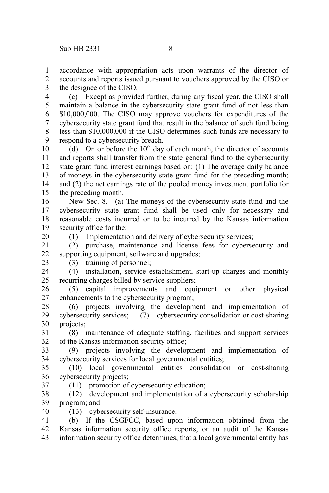accordance with appropriation acts upon warrants of the director of accounts and reports issued pursuant to vouchers approved by the CISO or the designee of the CISO. 1 2 3

(c) Except as provided further, during any fiscal year, the CISO shall maintain a balance in the cybersecurity state grant fund of not less than \$10,000,000. The CISO may approve vouchers for expenditures of the cybersecurity state grant fund that result in the balance of such fund being less than \$10,000,000 if the CISO determines such funds are necessary to respond to a cybersecurity breach. 4 5 6 7 8 9

(d) On or before the  $10<sup>th</sup>$  day of each month, the director of accounts and reports shall transfer from the state general fund to the cybersecurity state grant fund interest earnings based on: (1) The average daily balance of moneys in the cybersecurity state grant fund for the preceding month; and (2) the net earnings rate of the pooled money investment portfolio for the preceding month. 10 11 12 13 14 15

New Sec. 8. (a) The moneys of the cybersecurity state fund and the cybersecurity state grant fund shall be used only for necessary and reasonable costs incurred or to be incurred by the Kansas information security office for the: 16 17 18 19

20

(1) Implementation and delivery of cybersecurity services;

(2) purchase, maintenance and license fees for cybersecurity and supporting equipment, software and upgrades; 21 22

23

(3) training of personnel;

(4) installation, service establishment, start-up charges and monthly recurring charges billed by service suppliers; 24 25

(5) capital improvements and equipment or other physical enhancements to the cybersecurity program; 26 27

(6) projects involving the development and implementation of cybersecurity services; (7) cybersecurity consolidation or cost-sharing projects; 28 29 30

(8) maintenance of adequate staffing, facilities and support services of the Kansas information security office; 31 32

(9) projects involving the development and implementation of cybersecurity services for local governmental entities; 33 34

(10) local governmental entities consolidation or cost-sharing cybersecurity projects; 35 36

37

- (11) promotion of cybersecurity education;
- (12) development and implementation of a cybersecurity scholarship program; and 38 39

(13) cybersecurity self-insurance. 40

(b) If the CSGFCC, based upon information obtained from the Kansas information security office reports, or an audit of the Kansas information security office determines, that a local governmental entity has 41 42 43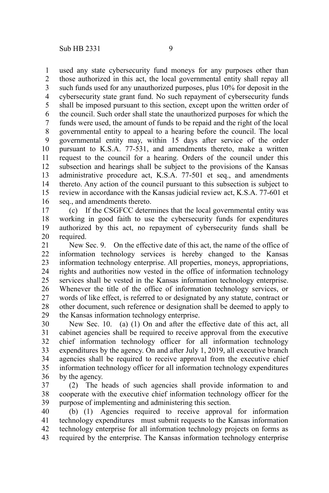used any state cybersecurity fund moneys for any purposes other than those authorized in this act, the local governmental entity shall repay all such funds used for any unauthorized purposes, plus 10% for deposit in the cybersecurity state grant fund. No such repayment of cybersecurity funds shall be imposed pursuant to this section, except upon the written order of the council. Such order shall state the unauthorized purposes for which the funds were used, the amount of funds to be repaid and the right of the local governmental entity to appeal to a hearing before the council. The local governmental entity may, within 15 days after service of the order pursuant to K.S.A. 77-531, and amendments thereto, make a written request to the council for a hearing. Orders of the council under this subsection and hearings shall be subject to the provisions of the Kansas administrative procedure act, K.S.A. 77-501 et seq., and amendments thereto. Any action of the council pursuant to this subsection is subject to review in accordance with the Kansas judicial review act, K.S.A. 77-601 et seq., and amendments thereto. 1 2 3 4 5 6 7 8 9 10 11 12 13 14 15 16

(c) If the CSGFCC determines that the local governmental entity was working in good faith to use the cybersecurity funds for expenditures authorized by this act, no repayment of cybersecurity funds shall be required. 17 18 19 20

New Sec. 9. On the effective date of this act, the name of the office of information technology services is hereby changed to the Kansas information technology enterprise. All properties, moneys, appropriations, rights and authorities now vested in the office of information technology services shall be vested in the Kansas information technology enterprise. Whenever the title of the office of information technology services, or words of like effect, is referred to or designated by any statute, contract or other document, such reference or designation shall be deemed to apply to the Kansas information technology enterprise. 21 22 23 24 25 26 27 28 29

New Sec. 10. (a) (1) On and after the effective date of this act, all cabinet agencies shall be required to receive approval from the executive chief information technology officer for all information technology expenditures by the agency. On and after July 1, 2019, all executive branch agencies shall be required to receive approval from the executive chief information technology officer for all information technology expenditures by the agency. 30 31 32 33 34 35 36

(2) The heads of such agencies shall provide information to and cooperate with the executive chief information technology officer for the purpose of implementing and administering this section. 37 38 39

(b) (1) Agencies required to receive approval for information technology expenditures must submit requests to the Kansas information technology enterprise for all information technology projects on forms as required by the enterprise. The Kansas information technology enterprise 40 41 42 43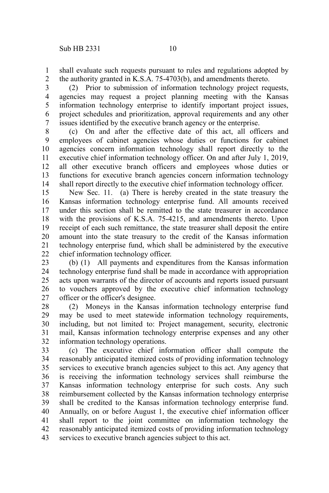shall evaluate such requests pursuant to rules and regulations adopted by the authority granted in K.S.A. 75-4703(b), and amendments thereto. 1 2

(2) Prior to submission of information technology project requests, agencies may request a project planning meeting with the Kansas information technology enterprise to identify important project issues, project schedules and prioritization, approval requirements and any other issues identified by the executive branch agency or the enterprise. 3 4 5 6 7

(c) On and after the effective date of this act, all officers and employees of cabinet agencies whose duties or functions for cabinet agencies concern information technology shall report directly to the executive chief information technology officer. On and after July 1, 2019, all other executive branch officers and employees whose duties or functions for executive branch agencies concern information technology shall report directly to the executive chief information technology officer. 8 9 10 11 12 13 14

New Sec. 11. (a) There is hereby created in the state treasury the Kansas information technology enterprise fund. All amounts received under this section shall be remitted to the state treasurer in accordance with the provisions of K.S.A. 75-4215, and amendments thereto. Upon receipt of each such remittance, the state treasurer shall deposit the entire amount into the state treasury to the credit of the Kansas information technology enterprise fund, which shall be administered by the executive chief information technology officer. 15 16 17 18 19 20 21 22

(b) (1) All payments and expenditures from the Kansas information technology enterprise fund shall be made in accordance with appropriation acts upon warrants of the director of accounts and reports issued pursuant to vouchers approved by the executive chief information technology officer or the officer's designee. 23 24 25 26 27

(2) Moneys in the Kansas information technology enterprise fund may be used to meet statewide information technology requirements, including, but not limited to: Project management, security, electronic mail, Kansas information technology enterprise expenses and any other information technology operations. 28 29 30 31 32

(c) The executive chief information officer shall compute the reasonably anticipated itemized costs of providing information technology services to executive branch agencies subject to this act. Any agency that is receiving the information technology services shall reimburse the Kansas information technology enterprise for such costs. Any such reimbursement collected by the Kansas information technology enterprise shall be credited to the Kansas information technology enterprise fund. Annually, on or before August 1, the executive chief information officer shall report to the joint committee on information technology the reasonably anticipated itemized costs of providing information technology services to executive branch agencies subject to this act. 33 34 35 36 37 38 39 40 41 42 43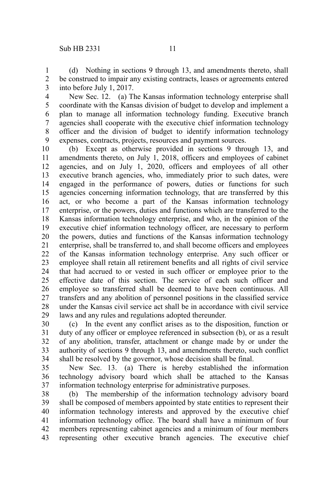(d) Nothing in sections 9 through 13, and amendments thereto, shall be construed to impair any existing contracts, leases or agreements entered into before July 1, 2017. 1 2 3

New Sec. 12. (a) The Kansas information technology enterprise shall coordinate with the Kansas division of budget to develop and implement a plan to manage all information technology funding. Executive branch agencies shall cooperate with the executive chief information technology officer and the division of budget to identify information technology expenses, contracts, projects, resources and payment sources. 4 5 6 7 8 9

(b) Except as otherwise provided in sections 9 through 13, and amendments thereto, on July 1, 2018, officers and employees of cabinet agencies, and on July 1, 2020, officers and employees of all other executive branch agencies, who, immediately prior to such dates, were engaged in the performance of powers, duties or functions for such agencies concerning information technology, that are transferred by this act, or who become a part of the Kansas information technology enterprise, or the powers, duties and functions which are transferred to the Kansas information technology enterprise, and who, in the opinion of the executive chief information technology officer, are necessary to perform the powers, duties and functions of the Kansas information technology enterprise, shall be transferred to, and shall become officers and employees of the Kansas information technology enterprise. Any such officer or employee shall retain all retirement benefits and all rights of civil service that had accrued to or vested in such officer or employee prior to the effective date of this section. The service of each such officer and employee so transferred shall be deemed to have been continuous. All transfers and any abolition of personnel positions in the classified service under the Kansas civil service act shall be in accordance with civil service laws and any rules and regulations adopted thereunder. 10 11 12 13 14 15 16 17 18 19 20 21 22 23 24 25 26 27 28 29

(c) In the event any conflict arises as to the disposition, function or duty of any officer or employee referenced in subsection (b), or as a result of any abolition, transfer, attachment or change made by or under the authority of sections 9 through 13, and amendments thereto, such conflict shall be resolved by the governor, whose decision shall be final. 30 31 32 33 34

New Sec. 13. (a) There is hereby established the information technology advisory board which shall be attached to the Kansas information technology enterprise for administrative purposes. 35 36 37

(b) The membership of the information technology advisory board shall be composed of members appointed by state entities to represent their information technology interests and approved by the executive chief information technology office. The board shall have a minimum of four members representing cabinet agencies and a minimum of four members representing other executive branch agencies. The executive chief 38 39 40 41 42 43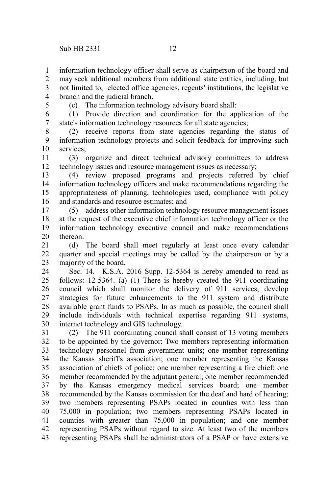information technology officer shall serve as chairperson of the board and may seek additional members from additional state entities, including, but

not limited to, elected office agencies, regents' institutions, the legislative branch and the judicial branch. 3 4

5

1 2

(c) The information technology advisory board shall:

(1) Provide direction and coordination for the application of the state's information technology resources for all state agencies; 6 7

(2) receive reports from state agencies regarding the status of information technology projects and solicit feedback for improving such services; 8 9 10

(3) organize and direct technical advisory committees to address technology issues and resource management issues as necessary; 11 12

(4) review proposed programs and projects referred by chief information technology officers and make recommendations regarding the appropriateness of planning, technologies used, compliance with policy and standards and resource estimates; and 13 14 15 16

(5) address other information technology resource management issues at the request of the executive chief information technology officer or the information technology executive council and make recommendations thereon. 17 18 19 20

(d) The board shall meet regularly at least once every calendar quarter and special meetings may be called by the chairperson or by a majority of the board. 21 22 23

Sec. 14. K.S.A. 2016 Supp. 12-5364 is hereby amended to read as follows: 12-5364. (a) (1) There is hereby created the 911 coordinating council which shall monitor the delivery of 911 services, develop strategies for future enhancements to the 911 system and distribute available grant funds to PSAPs. In as much as possible, the council shall include individuals with technical expertise regarding 911 systems, internet technology and GIS technology. 24 25 26 27 28 29 30

(2) The 911 coordinating council shall consist of 13 voting members to be appointed by the governor: Two members representing information technology personnel from government units; one member representing the Kansas sheriff's association; one member representing the Kansas association of chiefs of police; one member representing a fire chief; one member recommended by the adjutant general; one member recommended by the Kansas emergency medical services board; one member recommended by the Kansas commission for the deaf and hard of hearing; two members representing PSAPs located in counties with less than 75,000 in population; two members representing PSAPs located in counties with greater than 75,000 in population; and one member representing PSAPs without regard to size. At least two of the members representing PSAPs shall be administrators of a PSAP or have extensive 31 32 33 34 35 36 37 38 39 40 41 42 43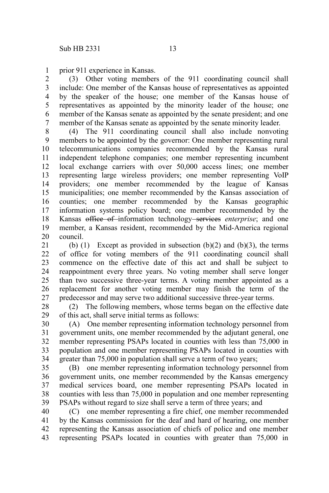prior 911 experience in Kansas. 1

(3) Other voting members of the 911 coordinating council shall include: One member of the Kansas house of representatives as appointed by the speaker of the house; one member of the Kansas house of representatives as appointed by the minority leader of the house; one member of the Kansas senate as appointed by the senate president; and one member of the Kansas senate as appointed by the senate minority leader. 2 3 4 5 6 7

(4) The 911 coordinating council shall also include nonvoting members to be appointed by the governor: One member representing rural telecommunications companies recommended by the Kansas rural independent telephone companies; one member representing incumbent local exchange carriers with over 50,000 access lines; one member representing large wireless providers; one member representing VoIP providers; one member recommended by the league of Kansas municipalities; one member recommended by the Kansas association of counties; one member recommended by the Kansas geographic information systems policy board; one member recommended by the Kansas office of information technology services *enterprise*; and one member, a Kansas resident, recommended by the Mid-America regional council. 8 9 10 11 12 13 14 15 16 17 18 19 20

(b) (1) Except as provided in subsection (b)(2) and (b)(3), the terms of office for voting members of the 911 coordinating council shall commence on the effective date of this act and shall be subject to reappointment every three years. No voting member shall serve longer than two successive three-year terms. A voting member appointed as a replacement for another voting member may finish the term of the predecessor and may serve two additional successive three-year terms. 21 22 23 24 25 26 27

(2) The following members, whose terms began on the effective date of this act, shall serve initial terms as follows: 28 29

(A) One member representing information technology personnel from government units, one member recommended by the adjutant general, one member representing PSAPs located in counties with less than 75,000 in population and one member representing PSAPs located in counties with greater than 75,000 in population shall serve a term of two years; 30 31 32 33 34

(B) one member representing information technology personnel from government units, one member recommended by the Kansas emergency medical services board, one member representing PSAPs located in counties with less than 75,000 in population and one member representing PSAPs without regard to size shall serve a term of three years; and 35 36 37 38 39

(C) one member representing a fire chief, one member recommended by the Kansas commission for the deaf and hard of hearing, one member representing the Kansas association of chiefs of police and one member representing PSAPs located in counties with greater than 75,000 in 40 41 42 43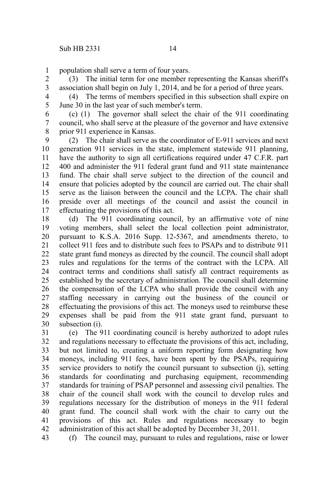population shall serve a term of four years. 1

(3) The initial term for one member representing the Kansas sheriff's association shall begin on July 1, 2014, and be for a period of three years. 2 3

(4) The terms of members specified in this subsection shall expire on June 30 in the last year of such member's term. 4 5

(c) (1) The governor shall select the chair of the 911 coordinating council, who shall serve at the pleasure of the governor and have extensive prior 911 experience in Kansas. 6 7 8

(2) The chair shall serve as the coordinator of E-911 services and next generation 911 services in the state, implement statewide 911 planning, have the authority to sign all certifications required under 47 C.F.R. part 400 and administer the 911 federal grant fund and 911 state maintenance fund. The chair shall serve subject to the direction of the council and ensure that policies adopted by the council are carried out. The chair shall serve as the liaison between the council and the LCPA. The chair shall preside over all meetings of the council and assist the council in effectuating the provisions of this act. 9 10 11 12 13 14 15 16 17

(d) The 911 coordinating council, by an affirmative vote of nine voting members, shall select the local collection point administrator, pursuant to K.S.A. 2016 Supp. 12-5367, and amendments thereto, to collect 911 fees and to distribute such fees to PSAPs and to distribute 911 state grant fund moneys as directed by the council. The council shall adopt rules and regulations for the terms of the contract with the LCPA. All contract terms and conditions shall satisfy all contract requirements as established by the secretary of administration. The council shall determine the compensation of the LCPA who shall provide the council with any staffing necessary in carrying out the business of the council or effectuating the provisions of this act. The moneys used to reimburse these expenses shall be paid from the 911 state grant fund, pursuant to subsection (i). 18 19 20 21 22 23 24 25 26 27 28 29 30

(e) The 911 coordinating council is hereby authorized to adopt rules and regulations necessary to effectuate the provisions of this act, including, but not limited to, creating a uniform reporting form designating how moneys, including 911 fees, have been spent by the PSAPs, requiring service providers to notify the council pursuant to subsection (j), setting standards for coordinating and purchasing equipment, recommending standards for training of PSAP personnel and assessing civil penalties. The chair of the council shall work with the council to develop rules and regulations necessary for the distribution of moneys in the 911 federal grant fund. The council shall work with the chair to carry out the provisions of this act. Rules and regulations necessary to begin administration of this act shall be adopted by December 31, 2011. 31 32 33 34 35 36 37 38 39 40 41 42

(f) The council may, pursuant to rules and regulations, raise or lower 43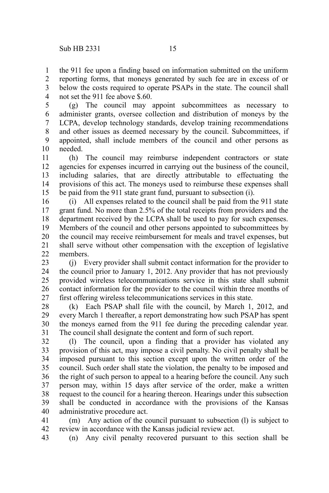the 911 fee upon a finding based on information submitted on the uniform reporting forms, that moneys generated by such fee are in excess of or below the costs required to operate PSAPs in the state. The council shall not set the 911 fee above \$.60. 1 2 3 4

(g) The council may appoint subcommittees as necessary to administer grants, oversee collection and distribution of moneys by the LCPA, develop technology standards, develop training recommendations and other issues as deemed necessary by the council. Subcommittees, if appointed, shall include members of the council and other persons as needed. 5 6 7 8 9 10

(h) The council may reimburse independent contractors or state agencies for expenses incurred in carrying out the business of the council, including salaries, that are directly attributable to effectuating the provisions of this act. The moneys used to reimburse these expenses shall be paid from the 911 state grant fund, pursuant to subsection (i). 11 12 13 14 15

(i) All expenses related to the council shall be paid from the 911 state grant fund. No more than 2.5% of the total receipts from providers and the department received by the LCPA shall be used to pay for such expenses. Members of the council and other persons appointed to subcommittees by the council may receive reimbursement for meals and travel expenses, but shall serve without other compensation with the exception of legislative members. 16 17 18 19 20 21  $22$ 

(j) Every provider shall submit contact information for the provider to the council prior to January 1, 2012. Any provider that has not previously provided wireless telecommunications service in this state shall submit contact information for the provider to the council within three months of first offering wireless telecommunications services in this state. 23 24 25 26 27

(k) Each PSAP shall file with the council, by March 1, 2012, and every March 1 thereafter, a report demonstrating how such PSAP has spent the moneys earned from the 911 fee during the preceding calendar year. The council shall designate the content and form of such report. 28 29 30 31

(l) The council, upon a finding that a provider has violated any provision of this act, may impose a civil penalty. No civil penalty shall be imposed pursuant to this section except upon the written order of the council. Such order shall state the violation, the penalty to be imposed and the right of such person to appeal to a hearing before the council. Any such person may, within 15 days after service of the order, make a written request to the council for a hearing thereon. Hearings under this subsection shall be conducted in accordance with the provisions of the Kansas administrative procedure act. 32 33 34 35 36 37 38 39 40

(m) Any action of the council pursuant to subsection (l) is subject to review in accordance with the Kansas judicial review act. 41 42

(n) Any civil penalty recovered pursuant to this section shall be 43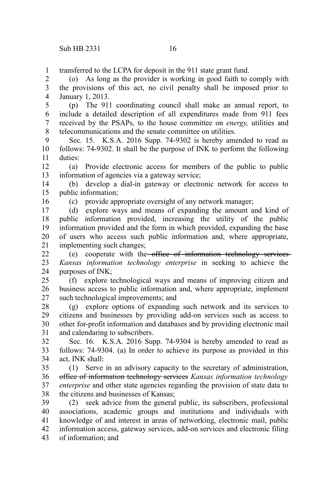transferred to the LCPA for deposit in the 911 state grant fund. 1

(o) As long as the provider is working in good faith to comply with the provisions of this act, no civil penalty shall be imposed prior to January 1, 2013. 2 3 4

(p) The 911 coordinating council shall make an annual report, to include a detailed description of all expenditures made from 911 fees received by the PSAPs, to the house committee on *energy,* utilities and telecommunications and the senate committee on utilities. 5 6 7 8

Sec. 15. K.S.A. 2016 Supp. 74-9302 is hereby amended to read as follows: 74-9302. It shall be the purpose of INK to perform the following duties: 9 10 11

(a) Provide electronic access for members of the public to public information of agencies via a gateway service; 12 13

(b) develop a dial-in gateway or electronic network for access to public information; 14 15

16

(c) provide appropriate oversight of any network manager;

(d) explore ways and means of expanding the amount and kind of public information provided, increasing the utility of the public information provided and the form in which provided, expanding the base of users who access such public information and, where appropriate, implementing such changes; 17 18 19 20 21

(e) cooperate with the office of information technology services *Kansas information technology enterprise* in seeking to achieve the purposes of INK; 22 23 24

(f) explore technological ways and means of improving citizen and business access to public information and, where appropriate, implement such technological improvements; and 25 26 27

(g) explore options of expanding such network and its services to citizens and businesses by providing add-on services such as access to other for-profit information and databases and by providing electronic mail and calendaring to subscribers. 28 29 30 31

Sec. 16. K.S.A. 2016 Supp. 74-9304 is hereby amended to read as follows: 74-9304. (a) In order to achieve its purpose as provided in this act, INK shall: 32 33 34

(1) Serve in an advisory capacity to the secretary of administration, office of information technology services *Kansas information technology enterprise* and other state agencies regarding the provision of state data to the citizens and businesses of Kansas; 35 36 37 38

(2) seek advice from the general public, its subscribers, professional associations, academic groups and institutions and individuals with knowledge of and interest in areas of networking, electronic mail, public information access, gateway services, add-on services and electronic filing of information; and 39 40 41 42 43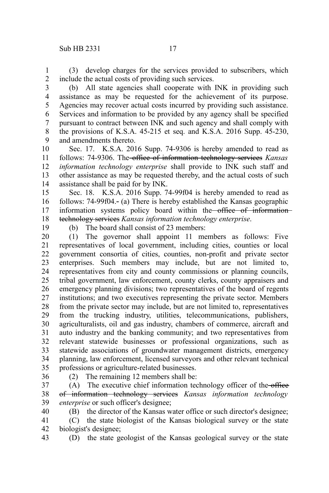(3) develop charges for the services provided to subscribers, which include the actual costs of providing such services. 1 2

(b) All state agencies shall cooperate with INK in providing such assistance as may be requested for the achievement of its purpose. Agencies may recover actual costs incurred by providing such assistance. Services and information to be provided by any agency shall be specified pursuant to contract between INK and such agency and shall comply with the provisions of K.S.A. 45-215 et seq. and K.S.A. 2016 Supp. 45-230, and amendments thereto. 3 4 5 6 7 8 9

Sec. 17. K.S.A. 2016 Supp. 74-9306 is hereby amended to read as follows: 74-9306. The office of information technology services *Kansas information technology enterprise* shall provide to INK such staff and other assistance as may be requested thereby, and the actual costs of such assistance shall be paid for by INK. 10 11 12 13 14

Sec. 18. K.S.A. 2016 Supp. 74-99f04 is hereby amended to read as follows: 74-99f04. (a) There is hereby established the Kansas geographic information systems policy board within the office of informationtechnology services *Kansas information technology enterprise*. 15 16 17 18

19

(b) The board shall consist of 23 members:

(1) The governor shall appoint 11 members as follows: Five representatives of local government, including cities, counties or local government consortia of cities, counties, non-profit and private sector enterprises. Such members may include, but are not limited to, representatives from city and county commissions or planning councils, tribal government, law enforcement, county clerks, county appraisers and emergency planning divisions; two representatives of the board of regents institutions; and two executives representing the private sector. Members from the private sector may include, but are not limited to, representatives from the trucking industry, utilities, telecommunications, publishers, agriculturalists, oil and gas industry, chambers of commerce, aircraft and auto industry and the banking community; and two representatives from relevant statewide businesses or professional organizations, such as statewide associations of groundwater management districts, emergency planning, law enforcement, licensed surveyors and other relevant technical professions or agriculture-related businesses. 20 21 22 23 24 25 26 27 28 29 30 31 32 33 34 35

36

(2) The remaining 12 members shall be:

(A) The executive chief information technology officer of the office of information technology services *Kansas information technology enterprise* or such officer's designee; 37 38 39 40

(B) the director of the Kansas water office or such director's designee;

(C) the state biologist of the Kansas biological survey or the state biologist's designee; 41 42

(D) the state geologist of the Kansas geological survey or the state 43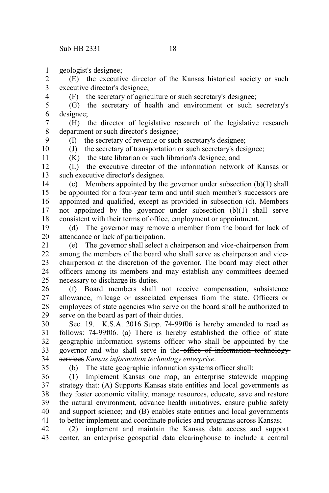geologist's designee; 1

(E) the executive director of the Kansas historical society or such executive director's designee; 2 3 4

(F) the secretary of agriculture or such secretary's designee;

(G) the secretary of health and environment or such secretary's designee; 5 6

(H) the director of legislative research of the legislative research department or such director's designee; 7 8

(I) the secretary of revenue or such secretary's designee;

(J) the secretary of transportation or such secretary's designee;

(K) the state librarian or such librarian's designee; and

(L) the executive director of the information network of Kansas or such executive director's designee. 12 13

(c) Members appointed by the governor under subsection (b)(1) shall be appointed for a four-year term and until such member's successors are appointed and qualified, except as provided in subsection (d). Members not appointed by the governor under subsection (b)(1) shall serve consistent with their terms of office, employment or appointment. 14 15 16 17 18

(d) The governor may remove a member from the board for lack of attendance or lack of participation. 19 20

(e) The governor shall select a chairperson and vice-chairperson from among the members of the board who shall serve as chairperson and vicechairperson at the discretion of the governor. The board may elect other officers among its members and may establish any committees deemed necessary to discharge its duties. 21  $22$ 23 24 25

(f) Board members shall not receive compensation, subsistence allowance, mileage or associated expenses from the state. Officers or employees of state agencies who serve on the board shall be authorized to serve on the board as part of their duties. 26 27 28 29

Sec. 19. K.S.A. 2016 Supp. 74-99f06 is hereby amended to read as follows: 74-99f06. (a) There is hereby established the office of state geographic information systems officer who shall be appointed by the governor and who shall serve in the office of information technologyservices *Kansas information technology enterprise*. 30 31 32 33 34

35

9 10 11

(b) The state geographic information systems officer shall:

(1) Implement Kansas one map, an enterprise statewide mapping strategy that: (A) Supports Kansas state entities and local governments as they foster economic vitality, manage resources, educate, save and restore the natural environment, advance health initiatives, ensure public safety and support science; and (B) enables state entities and local governments to better implement and coordinate policies and programs across Kansas; 36 37 38 39 40 41

(2) implement and maintain the Kansas data access and support center, an enterprise geospatial data clearinghouse to include a central 42 43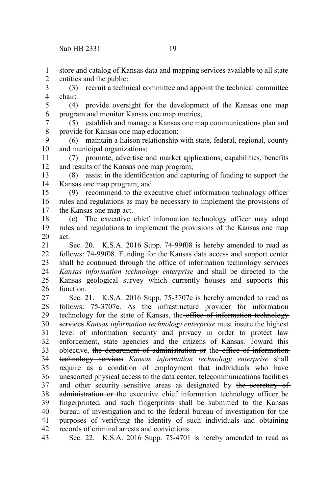store and catalog of Kansas data and mapping services available to all state entities and the public; 1 2

(3) recruit a technical committee and appoint the technical committee chair; 3 4

(4) provide oversight for the development of the Kansas one map program and monitor Kansas one map metrics; 5 6

(5) establish and manage a Kansas one map communications plan and provide for Kansas one map education; 7 8

(6) maintain a liaison relationship with state, federal, regional, county and municipal organizations; 9 10

(7) promote, advertise and market applications, capabilities, benefits and results of the Kansas one map program; 11 12

(8) assist in the identification and capturing of funding to support the Kansas one map program; and 13 14

(9) recommend to the executive chief information technology officer rules and regulations as may be necessary to implement the provisions of the Kansas one map act. 15 16 17

(c) The executive chief information technology officer may adopt rules and regulations to implement the provisions of the Kansas one map act. 18 19 20

Sec. 20. K.S.A. 2016 Supp. 74-99f08 is hereby amended to read as follows: 74-99f08. Funding for the Kansas data access and support center shall be continued through the office of information technology services *Kansas information technology enterprise* and shall be directed to the Kansas geological survey which currently houses and supports this function. 21 22 23 24 25 26

Sec. 21. K.S.A. 2016 Supp. 75-3707e is hereby amended to read as follows: 75-3707e. As the infrastructure provider for information technology for the state of Kansas, the office of information technology services *Kansas information technology enterprise* must insure the highest level of information security and privacy in order to protect law enforcement, state agencies and the citizens of Kansas. Toward this objective, the department of administration or the office of information technology services *Kansas information technology enterprise* shall require as a condition of employment that individuals who have unescorted physical access to the data center, telecommunications facilities and other security sensitive areas as designated by the secretary of administration or the executive chief information technology officer be fingerprinted, and such fingerprints shall be submitted to the Kansas bureau of investigation and to the federal bureau of investigation for the purposes of verifying the identity of such individuals and obtaining records of criminal arrests and convictions. 27 28 29 30 31 32 33 34 35 36 37 38 39 40 41 42

Sec. 22. K.S.A. 2016 Supp. 75-4701 is hereby amended to read as 43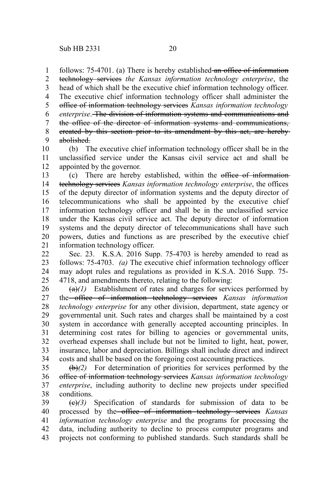follows: 75-4701. (a) There is hereby established an office of information 1

technology services *the Kansas information technology enterprise*, the head of which shall be the executive chief information technology officer. The executive chief information technology officer shall administer the office of information technology services *Kansas information technology enterprise*. The division of information systems and communications and the office of the director of information systems and communications, created by this section prior to its amendment by this act, are hereby abolished. 2 3 4 5 6 7 8 9

(b) The executive chief information technology officer shall be in the unclassified service under the Kansas civil service act and shall be appointed by the governor. 10 11 12

(c) There are hereby established, within the office of information technology services *Kansas information technology enterprise*, the offices of the deputy director of information systems and the deputy director of telecommunications who shall be appointed by the executive chief information technology officer and shall be in the unclassified service under the Kansas civil service act. The deputy director of information systems and the deputy director of telecommunications shall have such powers, duties and functions as are prescribed by the executive chief information technology officer. 13 14 15 16 17 18 19 20 21

Sec. 23. K.S.A. 2016 Supp. 75-4703 is hereby amended to read as follows: 75-4703. *(a)* The executive chief information technology officer may adopt rules and regulations as provided in K.S.A. 2016 Supp. 75- 4718, and amendments thereto, relating to the following: 22 23 24 25

 $\left(\frac{a}{a}\right)$  Establishment of rates and charges for services performed by the office of information technology services *Kansas information technology enterprise* for any other division, department, state agency or governmental unit. Such rates and charges shall be maintained by a cost system in accordance with generally accepted accounting principles. In determining cost rates for billing to agencies or governmental units, overhead expenses shall include but not be limited to light, heat, power, insurance, labor and depreciation. Billings shall include direct and indirect costs and shall be based on the foregoing cost accounting practices. 26 27 28 29 30 31 32 33 34

(b)*(2)* For determination of priorities for services performed by the office of information technology services *Kansas information technology enterprise*, including authority to decline new projects under specified conditions. 35 36 37 38

(c)*(3)* Specification of standards for submission of data to be processed by the office of information technology services *Kansas information technology enterprise* and the programs for processing the data, including authority to decline to process computer programs and projects not conforming to published standards. Such standards shall be 39 40 41 42 43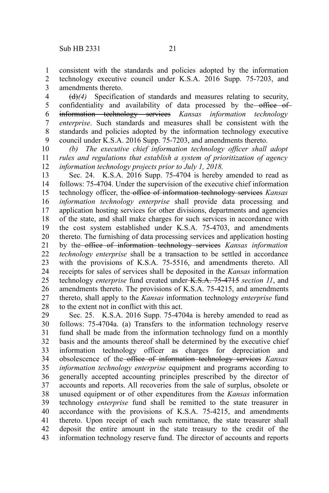consistent with the standards and policies adopted by the information technology executive council under K.S.A. 2016 Supp. 75-7203, and amendments thereto. 1 2 3

(d)*(4)* Specification of standards and measures relating to security, confidentiality and availability of data processed by the office of information technology services *Kansas information technology enterprise*. Such standards and measures shall be consistent with the standards and policies adopted by the information technology executive council under K.S.A. 2016 Supp. 75-7203, and amendments thereto. 4 5 6 7 8 9

*(b) The executive chief information technology officer shall adopt rules and regulations that establish a system of prioritization of agency information technology projects prior to July 1, 2018.*  10 11 12

Sec. 24. K.S.A. 2016 Supp. 75-4704 is hereby amended to read as follows: 75-4704. Under the supervision of the executive chief information technology officer, the office of information technology services *Kansas information technology enterprise* shall provide data processing and application hosting services for other divisions, departments and agencies of the state, and shall make charges for such services in accordance with the cost system established under K.S.A. 75-4703, and amendments thereto. The furnishing of data processing services and application hosting by the office of information technology services *Kansas information technology enterprise* shall be a transaction to be settled in accordance with the provisions of K.S.A. 75-5516, and amendments thereto. All receipts for sales of services shall be deposited in the *Kansas* information technology *enterprise* fund created under K.S.A. 75-4715 *section 11*, and amendments thereto. The provisions of K.S.A. 75-4215, and amendments thereto, shall apply to the *Kansas* information technology *enterprise* fund to the extent not in conflict with this act. 13 14 15 16 17 18 19 20 21 22 23 24 25 26 27 28

Sec. 25. K.S.A. 2016 Supp. 75-4704a is hereby amended to read as follows: 75-4704a. (a) Transfers to the information technology reserve fund shall be made from the information technology fund on a monthly basis and the amounts thereof shall be determined by the executive chief information technology officer as charges for depreciation and obsolescence of the office of information technology services *Kansas information technology enterprise* equipment and programs according to generally accepted accounting principles prescribed by the director of accounts and reports. All recoveries from the sale of surplus, obsolete or unused equipment or of other expenditures from the *Kansas* information technology *enterprise* fund shall be remitted to the state treasurer in accordance with the provisions of K.S.A. 75-4215, and amendments thereto. Upon receipt of each such remittance, the state treasurer shall deposit the entire amount in the state treasury to the credit of the information technology reserve fund. The director of accounts and reports 29 30 31 32 33 34 35 36 37 38 39 40 41 42 43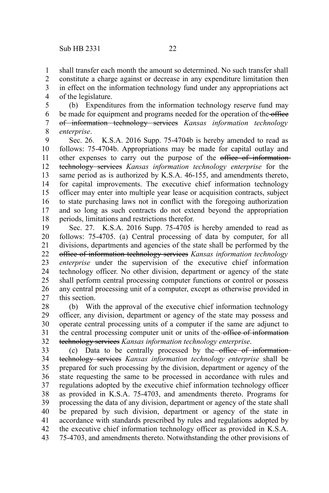shall transfer each month the amount so determined. No such transfer shall 1

constitute a charge against or decrease in any expenditure limitation then in effect on the information technology fund under any appropriations act of the legislature. 2 3 4

(b) Expenditures from the information technology reserve fund may be made for equipment and programs needed for the operation of the office of information technology services *Kansas information technology enterprise*. 5 6 7 8

Sec. 26. K.S.A. 2016 Supp. 75-4704b is hereby amended to read as follows: 75-4704b. Appropriations may be made for capital outlay and other expenses to carry out the purpose of the office of informationtechnology services *Kansas information technology enterprise* for the same period as is authorized by K.S.A. 46-155, and amendments thereto, for capital improvements. The executive chief information technology officer may enter into multiple year lease or acquisition contracts, subject to state purchasing laws not in conflict with the foregoing authorization and so long as such contracts do not extend beyond the appropriation periods, limitations and restrictions therefor. 9 10 11 12 13 14 15 16 17 18

Sec. 27. K.S.A. 2016 Supp. 75-4705 is hereby amended to read as follows: 75-4705. (a) Central processing of data by computer, for all divisions, departments and agencies of the state shall be performed by the office of information technology services *Kansas information technology enterprise* under the supervision of the executive chief information technology officer. No other division, department or agency of the state shall perform central processing computer functions or control or possess any central processing unit of a computer, except as otherwise provided in this section. 19 20 21 22 23 24 25 26 27

(b) With the approval of the executive chief information technology officer, any division, department or agency of the state may possess and operate central processing units of a computer if the same are adjunct to the central processing computer unit or units of the office of information technology services *Kansas information technology enterprise*. 28 29 30 31 32

(c) Data to be centrally processed by the office of information technology services *Kansas information technology enterprise* shall be prepared for such processing by the division, department or agency of the state requesting the same to be processed in accordance with rules and regulations adopted by the executive chief information technology officer as provided in K.S.A. 75-4703, and amendments thereto. Programs for processing the data of any division, department or agency of the state shall be prepared by such division, department or agency of the state in accordance with standards prescribed by rules and regulations adopted by the executive chief information technology officer as provided in K.S.A. 75-4703, and amendments thereto. Notwithstanding the other provisions of 33 34 35 36 37 38 39 40 41 42 43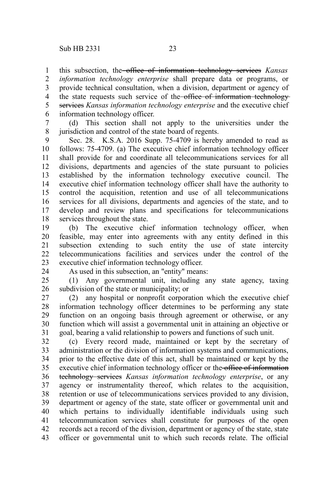this subsection, the office of information technology services *Kansas information technology enterprise* shall prepare data or programs, or provide technical consultation, when a division, department or agency of the state requests such service of the office of information technologyservices *Kansas information technology enterprise* and the executive chief information technology officer. 1 2 3 4 5 6

(d) This section shall not apply to the universities under the jurisdiction and control of the state board of regents. 7 8

Sec. 28. K.S.A. 2016 Supp. 75-4709 is hereby amended to read as follows: 75-4709. (a) The executive chief information technology officer shall provide for and coordinate all telecommunications services for all divisions, departments and agencies of the state pursuant to policies established by the information technology executive council. The executive chief information technology officer shall have the authority to control the acquisition, retention and use of all telecommunications services for all divisions, departments and agencies of the state, and to develop and review plans and specifications for telecommunications services throughout the state. 9 10 11 12 13 14 15 16 17 18

(b) The executive chief information technology officer, when feasible, may enter into agreements with any entity defined in this subsection extending to such entity the use of state intercity telecommunications facilities and services under the control of the executive chief information technology officer. 19 20 21 22 23

24

As used in this subsection, an "entity" means:

(1) Any governmental unit, including any state agency, taxing subdivision of the state or municipality; or 25 26

(2) any hospital or nonprofit corporation which the executive chief information technology officer determines to be performing any state function on an ongoing basis through agreement or otherwise, or any function which will assist a governmental unit in attaining an objective or goal, bearing a valid relationship to powers and functions of such unit. 27 28 29 30 31

(c) Every record made, maintained or kept by the secretary of administration or the division of information systems and communications, prior to the effective date of this act, shall be maintained or kept by the executive chief information technology officer or the office of information technology services *Kansas information technology enterprise*, or any agency or instrumentality thereof, which relates to the acquisition, retention or use of telecommunications services provided to any division, department or agency of the state, state officer or governmental unit and which pertains to individually identifiable individuals using such telecommunication services shall constitute for purposes of the open records act a record of the division, department or agency of the state, state officer or governmental unit to which such records relate. The official 32 33 34 35 36 37 38 39 40 41 42 43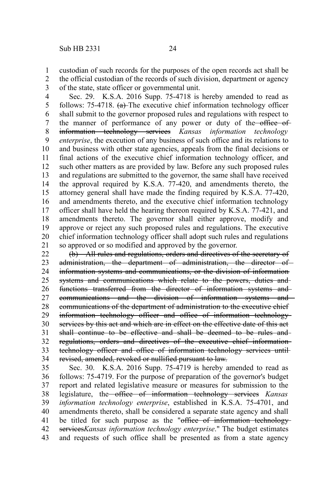custodian of such records for the purposes of the open records act shall be the official custodian of the records of such division, department or agency of the state, state officer or governmental unit. 1 2 3

Sec. 29. K.S.A. 2016 Supp. 75-4718 is hereby amended to read as follows:  $75-4718$ .  $(a)$  The executive chief information technology officer shall submit to the governor proposed rules and regulations with respect to the manner of performance of any power or duty of the office of information technology services *Kansas information technology enterprise*, the execution of any business of such office and its relations to and business with other state agencies, appeals from the final decisions or final actions of the executive chief information technology officer, and such other matters as are provided by law. Before any such proposed rules and regulations are submitted to the governor, the same shall have received the approval required by K.S.A. 77-420, and amendments thereto, the attorney general shall have made the finding required by K.S.A. 77-420, and amendments thereto, and the executive chief information technology officer shall have held the hearing thereon required by K.S.A. 77-421, and amendments thereto. The governor shall either approve, modify and approve or reject any such proposed rules and regulations. The executive chief information technology officer shall adopt such rules and regulations so approved or so modified and approved by the governor. 4 5 6 7 8 9 10 11 12 13 14 15 16 17 18 19 20 21

(b) All rules and regulations, orders and directives of the secretary of administration, the department of administration, the director of information systems and communications, or the division of information systems and communications which relate to the powers, duties and functions transferred from the director of information systems and communications and the division of information systems and communications of the department of administration to the executive chief information technology officer and office of information technologyservices by this act and which are in effect on the effective date of this act shall continue to be effective and shall be deemed to be rules and regulations, orders and directives of the executive chief information technology officer and office of information technology services until revised, amended, revoked or nullified pursuant to law. 22 23 24 25 26 27 28 29 30 31 32 33 34

Sec. 30. K.S.A. 2016 Supp. 75-4719 is hereby amended to read as follows: 75-4719. For the purpose of preparation of the governor's budget report and related legislative measure or measures for submission to the legislature, the office of information technology services *Kansas information technology enterprise*, established in K.S.A. 75-4701, and amendments thereto, shall be considered a separate state agency and shall be titled for such purpose as the "office of information technologyservices*Kansas information technology enterprise*." The budget estimates and requests of such office shall be presented as from a state agency 35 36 37 38 39 40 41 42 43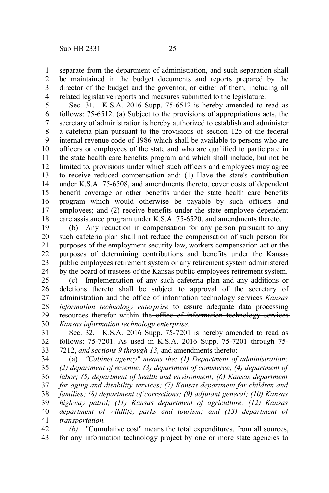separate from the department of administration, and such separation shall be maintained in the budget documents and reports prepared by the director of the budget and the governor, or either of them, including all related legislative reports and measures submitted to the legislature. 1 2 3 4

Sec. 31. K.S.A. 2016 Supp. 75-6512 is hereby amended to read as follows: 75-6512. (a) Subject to the provisions of appropriations acts, the secretary of administration is hereby authorized to establish and administer a cafeteria plan pursuant to the provisions of section 125 of the federal internal revenue code of 1986 which shall be available to persons who are officers or employees of the state and who are qualified to participate in the state health care benefits program and which shall include, but not be limited to, provisions under which such officers and employees may agree to receive reduced compensation and: (1) Have the state's contribution under K.S.A. 75-6508, and amendments thereto, cover costs of dependent benefit coverage or other benefits under the state health care benefits program which would otherwise be payable by such officers and employees; and (2) receive benefits under the state employee dependent care assistance program under K.S.A. 75-6520, and amendments thereto. 5 6 7 8 9 10 11 12 13 14 15 16 17 18

(b) Any reduction in compensation for any person pursuant to any such cafeteria plan shall not reduce the compensation of such person for purposes of the employment security law, workers compensation act or the purposes of determining contributions and benefits under the Kansas public employees retirement system or any retirement system administered by the board of trustees of the Kansas public employees retirement system. 19 20 21 22 23 24

(c) Implementation of any such cafeteria plan and any additions or deletions thereto shall be subject to approval of the secretary of administration and the office of information technology services *Kansas information technology enterprise* to assure adequate data processing resources therefor within the office of information technology services *Kansas information technology enterprise*. 25 26 27 28 29 30

Sec. 32. K.S.A. 2016 Supp. 75-7201 is hereby amended to read as follows: 75-7201. As used in K.S.A. 2016 Supp. 75-7201 through 75- 7212, *and sections 9 through 13,* and amendments thereto: 31 32 33

(a) *"Cabinet agency" means the: (1) Department of administration; (2) department of revenue; (3) department of commerce; (4) department of labor; (5) department of health and environment; (6) Kansas department for aging and disability services; (7) Kansas department for children and families; (8) department of corrections; (9) adjutant general; (10) Kansas highway patrol; (11) Kansas department of agriculture; (12) Kansas department of wildlife, parks and tourism; and (13) department of transportation.* 34 35 36 37 38 39 40 41

*(b)* "Cumulative cost" means the total expenditures, from all sources, for any information technology project by one or more state agencies to 42 43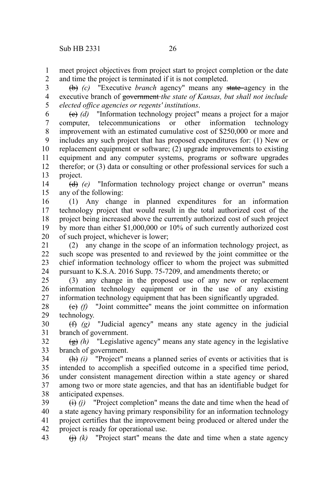meet project objectives from project start to project completion or the date and time the project is terminated if it is not completed. 1 2

(b) *(c)* "Executive *branch* agency" means any state agency in the executive branch of government *the state of Kansas, but shall not include elected office agencies or regents' institutions*. 3 4 5

(c) *(d)* "Information technology project" means a project for a major computer, telecommunications or other information technology improvement with an estimated cumulative cost of \$250,000 or more and includes any such project that has proposed expenditures for: (1) New or replacement equipment or software; (2) upgrade improvements to existing equipment and any computer systems, programs or software upgrades therefor; or (3) data or consulting or other professional services for such a project. 6 7 8 9 10 11 12 13

(d) *(e)* "Information technology project change or overrun" means any of the following: 14 15

(1) Any change in planned expenditures for an information technology project that would result in the total authorized cost of the project being increased above the currently authorized cost of such project by more than either \$1,000,000 or 10% of such currently authorized cost of such project, whichever is lower; 16 17 18 19 20

(2) any change in the scope of an information technology project, as such scope was presented to and reviewed by the joint committee or the chief information technology officer to whom the project was submitted pursuant to K.S.A. 2016 Supp. 75-7209, and amendments thereto; or 21 22 23 24

(3) any change in the proposed use of any new or replacement information technology equipment or in the use of any existing information technology equipment that has been significantly upgraded. 25 26 27

(e) *(f)* "Joint committee" means the joint committee on information technology. 28 29

(f) *(g)* "Judicial agency" means any state agency in the judicial branch of government. 30 31

(g) *(h)* "Legislative agency" means any state agency in the legislative branch of government. 32 33

(h) *(i)* "Project" means a planned series of events or activities that is intended to accomplish a specified outcome in a specified time period, under consistent management direction within a state agency or shared among two or more state agencies, and that has an identifiable budget for anticipated expenses. 34 35 36 37 38

 $(i)$  (i) "Project completion" means the date and time when the head of a state agency having primary responsibility for an information technology project certifies that the improvement being produced or altered under the project is ready for operational use. 39 40 41 42

 $\leftrightarrow$  (i) *(k)* "Project start" means the date and time when a state agency 43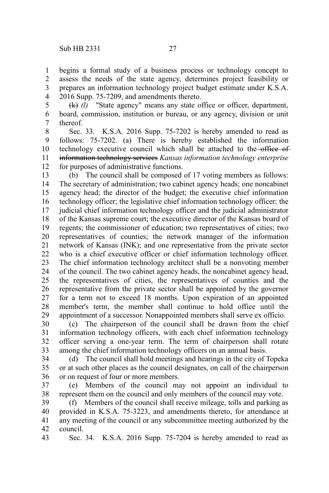begins a formal study of a business process or technology concept to assess the needs of the state agency, determines project feasibility or prepares an information technology project budget estimate under K.S.A. 2016 Supp. 75-7209, and amendments thereto. 1 2 3 4

(k) *(l)* "State agency" means any state office or officer, department, board, commission, institution or bureau, or any agency, division or unit thereof. 5 6 7

Sec. 33. K.S.A. 2016 Supp. 75-7202 is hereby amended to read as follows: 75-7202. (a) There is hereby established the information technology executive council which shall be attached to the office of information technology services *Kansas information technology enterprise* for purposes of administrative functions. 8 9 10 11 12

(b) The council shall be composed of 17 voting members as follows: The secretary of administration; two cabinet agency heads; one noncabinet agency head; the director of the budget; the executive chief information technology officer; the legislative chief information technology officer; the judicial chief information technology officer and the judicial administrator of the Kansas supreme court; the executive director of the Kansas board of regents; the commissioner of education; two representatives of cities; two representatives of counties; the network manager of the information network of Kansas (INK); and one representative from the private sector who is a chief executive officer or chief information technology officer. The chief information technology architect shall be a nonvoting member of the council. The two cabinet agency heads, the noncabinet agency head, the representatives of cities, the representatives of counties and the representative from the private sector shall be appointed by the governor for a term not to exceed 18 months. Upon expiration of an appointed member's term, the member shall continue to hold office until the appointment of a successor. Nonappointed members shall serve ex officio. 13 14 15 16 17 18 19 20 21 22 23 24 25 26 27 28 29

(c) The chairperson of the council shall be drawn from the chief information technology officers, with each chief information technology officer serving a one-year term. The term of chairperson shall rotate among the chief information technology officers on an annual basis. 30 31 32 33

(d) The council shall hold meetings and hearings in the city of Topeka or at such other places as the council designates, on call of the chairperson or on request of four or more members. 34 35 36

(e) Members of the council may not appoint an individual to represent them on the council and only members of the council may vote. 37 38

(f) Members of the council shall receive mileage, tolls and parking as provided in K.S.A. 75-3223, and amendments thereto, for attendance at any meeting of the council or any subcommittee meeting authorized by the council. 39 40 41 42

Sec. 34. K.S.A. 2016 Supp. 75-7204 is hereby amended to read as 43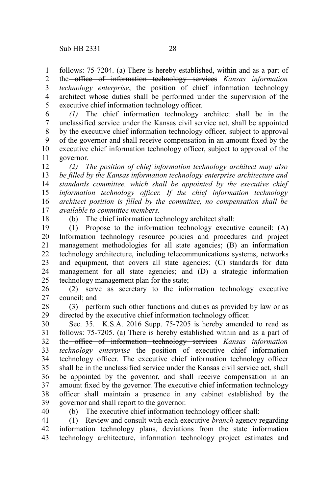follows: 75-7204. (a) There is hereby established, within and as a part of the office of information technology services *Kansas information technology enterprise*, the position of chief information technology architect whose duties shall be performed under the supervision of the executive chief information technology officer. 1 2 3 4 5

*(1)* The chief information technology architect shall be in the unclassified service under the Kansas civil service act, shall be appointed by the executive chief information technology officer, subject to approval of the governor and shall receive compensation in an amount fixed by the executive chief information technology officer, subject to approval of the governor. 6 7 8 9 10 11

*(2) The position of chief information technology architect may also be filled by the Kansas information technology enterprise architecture and standards committee, which shall be appointed by the executive chief information technology officer. If the chief information technology architect position is filled by the committee, no compensation shall be available to committee members.* 12 13 14 15 16 17

18

(b) The chief information technology architect shall:

(1) Propose to the information technology executive council: (A) Information technology resource policies and procedures and project management methodologies for all state agencies; (B) an information technology architecture, including telecommunications systems, networks and equipment, that covers all state agencies; (C) standards for data management for all state agencies; and (D) a strategic information technology management plan for the state; 19 20 21 22 23 24 25

(2) serve as secretary to the information technology executive council; and 26 27

(3) perform such other functions and duties as provided by law or as directed by the executive chief information technology officer. 28 29

Sec. 35. K.S.A. 2016 Supp. 75-7205 is hereby amended to read as follows: 75-7205. (a) There is hereby established within and as a part of the office of information technology services *Kansas information technology enterprise* the position of executive chief information technology officer. The executive chief information technology officer shall be in the unclassified service under the Kansas civil service act, shall be appointed by the governor, and shall receive compensation in an amount fixed by the governor. The executive chief information technology officer shall maintain a presence in any cabinet established by the governor and shall report to the governor. 30 31 32 33 34 35 36 37 38 39

40

(b) The executive chief information technology officer shall:

(1) Review and consult with each executive *branch* agency regarding information technology plans, deviations from the state information technology architecture, information technology project estimates and 41 42 43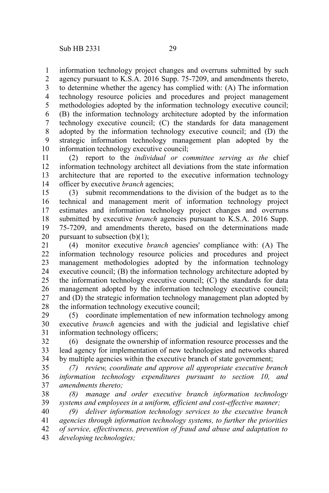information technology project changes and overruns submitted by such agency pursuant to K.S.A. 2016 Supp. 75-7209, and amendments thereto, to determine whether the agency has complied with: (A) The information technology resource policies and procedures and project management methodologies adopted by the information technology executive council; (B) the information technology architecture adopted by the information technology executive council; (C) the standards for data management adopted by the information technology executive council; and (D) the strategic information technology management plan adopted by the information technology executive council; 1 2 3 4 5 6 7 8 9 10

(2) report to the *individual or committee serving as the* chief information technology architect all deviations from the state information architecture that are reported to the executive information technology officer by executive *branch* agencies; 11 12 13 14

(3) submit recommendations to the division of the budget as to the technical and management merit of information technology project estimates and information technology project changes and overruns submitted by executive *branch* agencies pursuant to K.S.A. 2016 Supp. 75-7209, and amendments thereto, based on the determinations made pursuant to subsection (b)(1); 15 16 17 18 19 20

(4) monitor executive *branch* agencies' compliance with: (A) The information technology resource policies and procedures and project management methodologies adopted by the information technology executive council; (B) the information technology architecture adopted by the information technology executive council; (C) the standards for data management adopted by the information technology executive council; and (D) the strategic information technology management plan adopted by the information technology executive council; 21 22 23 24 25 26 27 28

(5) coordinate implementation of new information technology among executive *branch* agencies and with the judicial and legislative chief information technology officers; 29 30 31

(6) designate the ownership of information resource processes and the lead agency for implementation of new technologies and networks shared by multiple agencies within the executive branch of state government; 32 33 34

*(7) review, coordinate and approve all appropriate executive branch information technology expenditures pursuant to section 10, and amendments thereto;* 35 36 37

*(8) manage and order executive branch information technology systems and employees in a uniform, efficient and cost-effective manner;* 38 39

*(9) deliver information technology services to the executive branch agencies through information technology systems, to further the priorities of service, effectiveness, prevention of fraud and abuse and adaptation to developing technologies;*  40 41 42 43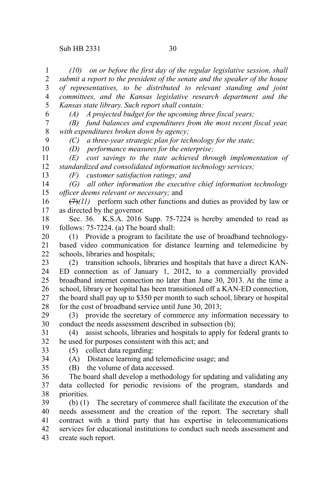6

9 10

*(10) on or before the first day of the regular legislative session, shall submit a report to the president of the senate and the speaker of the house of representatives, to be distributed to relevant standing and joint committees, and the Kansas legislative research department and the Kansas state library. Such report shall contain:* 1 2 3 4 5

*(A) A projected budget for the upcoming three fiscal years;*

*(B) fund balances and expenditures from the most recent fiscal year, with expenditures broken down by agency;* 7 8

*(C) a three-year strategic plan for technology for the state;*

*(D) performance measures for the enterprise;*

*(E) cost savings to the state achieved through implementation of standardized and consolidated information technology services;* 11 12 13

*(F) customer satisfaction ratings; and*

*(G) all other information the executive chief information technology officer deems relevant or necessary;* and 14 15

 $(7)$ *(11)* perform such other functions and duties as provided by law or as directed by the governor. 16 17

Sec. 36. K.S.A. 2016 Supp. 75-7224 is hereby amended to read as follows: 75-7224. (a) The board shall: 18 19

(1) Provide a program to facilitate the use of broadband technologybased video communication for distance learning and telemedicine by schools, libraries and hospitals; 20 21 22

(2) transition schools, libraries and hospitals that have a direct KAN-ED connection as of January 1, 2012, to a commercially provided broadband internet connection no later than June 30, 2013. At the time a school, library or hospital has been transitioned off a KAN-ED connection, the board shall pay up to \$350 per month to such school, library or hospital for the cost of broadband service until June 30, 2013; 23 24 25 26 27 28

(3) provide the secretary of commerce any information necessary to conduct the needs assessment described in subsection (b); 29 30

(4) assist schools, libraries and hospitals to apply for federal grants to be used for purposes consistent with this act; and 31 32

(5) collect data regarding: 33

- (A) Distance learning and telemedicine usage; and
- 35

34

(B) the volume of data accessed.

The board shall develop a methodology for updating and validating any data collected for periodic revisions of the program, standards and priorities. 36 37 38

(b) (1) The secretary of commerce shall facilitate the execution of the needs assessment and the creation of the report. The secretary shall contract with a third party that has expertise in telecommunications services for educational institutions to conduct such needs assessment and create such report. 39 40 41 42 43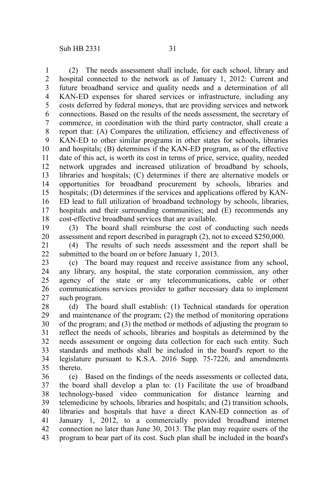(2) The needs assessment shall include, for each school, library and hospital connected to the network as of January 1, 2012: Current and future broadband service and quality needs and a determination of all KAN-ED expenses for shared services or infrastructure, including any costs deferred by federal moneys, that are providing services and network connections. Based on the results of the needs assessment, the secretary of commerce, in coordination with the third party contractor, shall create a report that: (A) Compares the utilization, efficiency and effectiveness of KAN-ED to other similar programs in other states for schools, libraries and hospitals; (B) determines if the KAN-ED program, as of the effective date of this act, is worth its cost in terms of price, service, quality, needed network upgrades and increased utilization of broadband by schools, libraries and hospitals; (C) determines if there are alternative models or opportunities for broadband procurement by schools, libraries and hospitals; (D) determines if the services and applications offered by KAN-ED lead to full utilization of broadband technology by schools, libraries, hospitals and their surrounding communities; and  $(E)$  recommends any cost-effective broadband services that are available. 1 2 3 4 5 6 7 8 9 10 11 12 13 14 15 16 17 18

(3) The board shall reimburse the cost of conducting such needs assessment and report described in paragraph (2), not to exceed \$250,000. 19 20

(4) The results of such needs assessment and the report shall be submitted to the board on or before January 1, 2013. 21 22

(c) The board may request and receive assistance from any school, any library, any hospital, the state corporation commission, any other agency of the state or any telecommunications, cable or other communications services provider to gather necessary data to implement such program. 23 24 25 26 27

(d) The board shall establish: (1) Technical standards for operation and maintenance of the program; (2) the method of monitoring operations of the program; and (3) the method or methods of adjusting the program to reflect the needs of schools, libraries and hospitals as determined by the needs assessment or ongoing data collection for each such entity. Such standards and methods shall be included in the board's report to the legislature pursuant to K.S.A. 2016 Supp. 75-7226, and amendments thereto. 28 29 30 31 32 33 34 35

(e) Based on the findings of the needs assessments or collected data, the board shall develop a plan to: (1) Facilitate the use of broadband technology-based video communication for distance learning and telemedicine by schools, libraries and hospitals; and (2) transition schools, libraries and hospitals that have a direct KAN-ED connection as of January 1, 2012, to a commercially provided broadband internet connection no later than June 30, 2013. The plan may require users of the program to bear part of its cost. Such plan shall be included in the board's 36 37 38 39 40 41 42 43